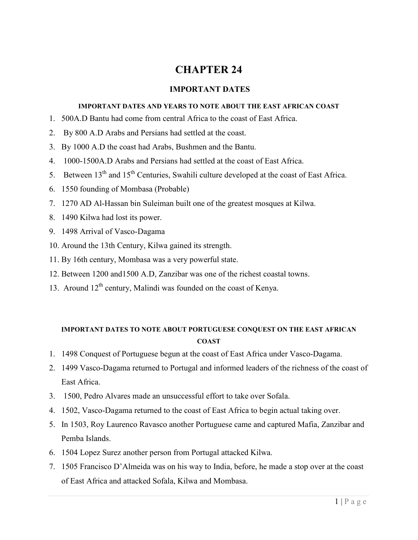# **CHAPTER 24**

## **IMPORTANT DATES**

#### **IMPORTANT DATES AND YEARS TO NOTE ABOUT THE EAST AFRICAN COAST**

- 1. 500A.D Bantu had come from central Africa to the coast of East Africa.
- 2. By 800 A.D Arabs and Persians had settled at the coast.
- 3. By 1000 A.D the coast had Arabs, Bushmen and the Bantu.
- 4. 1000-1500A.D Arabs and Persians had settled at the coast of East Africa.
- 5. Between  $13<sup>th</sup>$  and  $15<sup>th</sup>$  Centuries, Swahili culture developed at the coast of East Africa.
- 6. 1550 founding of Mombasa (Probable)
- 7. 1270 AD Al-Hassan bin Suleiman built one of the greatest mosques at Kilwa.
- 8. 1490 Kilwa had lost its power.
- 9. 1498 Arrival of Vasco-Dagama
- 10. Around the 13th Century, Kilwa gained its strength.
- 11. By 16th century, Mombasa was a very powerful state.
- 12. Between 1200 and1500 A.D, Zanzibar was one of the richest coastal towns.
- 13. Around  $12<sup>th</sup>$  century, Malindi was founded on the coast of Kenya.

## **IMPORTANT DATES TO NOTE ABOUT PORTUGUESE CONQUEST ON THE EAST AFRICAN COAST**

- 1. 1498 Conquest of Portuguese begun at the coast of East Africa under Vasco-Dagama.
- 2. 1499 Vasco-Dagama returned to Portugal and informed leaders of the richness of the coast of East Africa.
- 3. 1500, Pedro Alvares made an unsuccessful effort to take over Sofala.
- 4. 1502, Vasco-Dagama returned to the coast of East Africa to begin actual taking over.
- 5. In 1503, Roy Laurenco Ravasco another Portuguese came and captured Mafia, Zanzibar and Pemba Islands.
- 6. 1504 Lopez Surez another person from Portugal attacked Kilwa.
- 7. 1505 Francisco D'Almeida was on his way to India, before, he made a stop over at the coast of East Africa and attacked Sofala, Kilwa and Mombasa.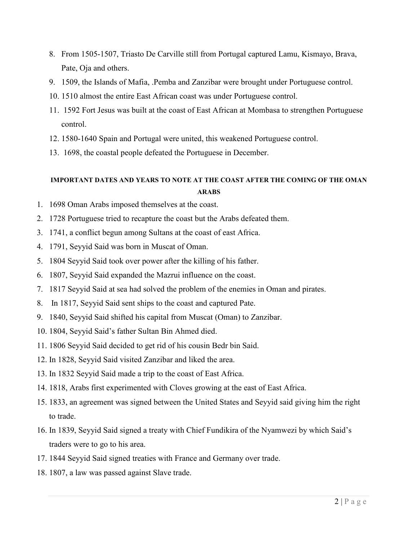- 8. From 1505-1507, Triasto De Carville still from Portugal captured Lamu, Kismayo, Brava, Pate, Oja and others.
- 9. 1509, the Islands of Mafia, .Pemba and Zanzibar were brought under Portuguese control.
- 10. 1510 almost the entire East African coast was under Portuguese control.
- 11. 1592 Fort Jesus was built at the coast of East African at Mombasa to strengthen Portuguese control.
- 12. 1580-1640 Spain and Portugal were united, this weakened Portuguese control.
- 13. 1698, the coastal people defeated the Portuguese in December.

## **IMPORTANT DATES AND YEARS TO NOTE AT THE COAST AFTER THE COMING OF THE OMAN ARABS**

- 1. 1698 Oman Arabs imposed themselves at the coast.
- 2. 1728 Portuguese tried to recapture the coast but the Arabs defeated them.
- 3. 1741, a conflict begun among Sultans at the coast of east Africa.
- 4. 1791, Seyyid Said was born in Muscat of Oman.
- 5. 1804 Seyyid Said took over power after the killing of his father.
- 6. 1807, Seyyid Said expanded the Mazrui influence on the coast.
- 7. 1817 Seyyid Said at sea had solved the problem of the enemies in Oman and pirates.
- 8. In 1817, Seyyid Said sent ships to the coast and captured Pate.
- 9. 1840, Seyyid Said shifted his capital from Muscat (Oman) to Zanzibar.
- 10. 1804, Seyyid Said's father Sultan Bin Ahmed died.
- 11. 1806 Seyyid Said decided to get rid of his cousin Bedr bin Said.
- 12. In 1828, Seyyid Said visited Zanzibar and liked the area.
- 13. In 1832 Seyyid Said made a trip to the coast of East Africa.
- 14. 1818, Arabs first experimented with Cloves growing at the east of East Africa.
- 15. 1833, an agreement was signed between the United States and Seyyid said giving him the right to trade.
- 16. In 1839, Seyyid Said signed a treaty with Chief Fundikira of the Nyamwezi by which Said's traders were to go to his area.
- 17. 1844 Seyyid Said signed treaties with France and Germany over trade.
- 18. 1807, a law was passed against Slave trade.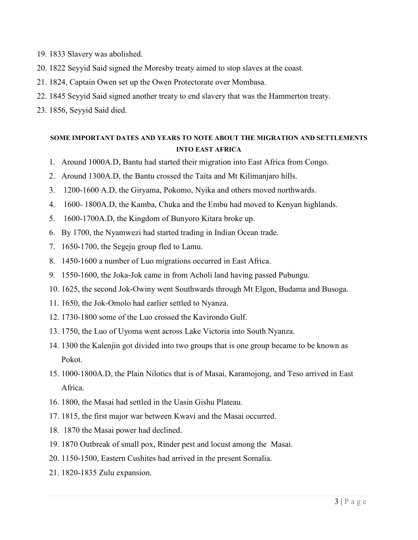- 19. 1833 Slavery was abolished.
- 20. 1822 Seyyid Said signed the Moresby treaty aimed to stop slaves at the coast.
- 21. 1824, Captain Owen set up the Owen Protectorate over Mombasa.
- 22. 1845 Seyyid Said signed another treaty to end slavery that was the Hammerton treaty.
- 23. 1856, Seyyid Said died.

## **SOME IMPORTANT DATES AND YEARS TO NOTE ABOUT THE MIGRATION AND SETTLEMENTS INTO EAST AFRICA**

- 1. Around 1000A.D, Bantu had started their migration into East Africa from Congo.
- 2. Around 1300A.D, the Bantu crossed the Taita and Mt Kilimanjaro hills.
- 3. 1200-1600 A.D, the Giryama, Pokomo, Nyika and others moved northwards.
- 4. 1600- 1800A.D, the Kamba, Chuka and the Embu had moved to Kenyan highlands.
- 5. 1600-1700A.D, the Kingdom of Bunyoro Kitara broke up.
- 6. By 1700, the Nyamwezi had started trading in Indian Ocean trade.
- 7. 1650-1700, the Segeju group fled to Lamu.
- 8. 1450-1600 a number of Luo migrations occurred in East Africa.
- 9. 1550-1600, the Joka-Jok came in from Acholi land having passed Pubungu.
- 10. 1625, the second Jok-Owiny went Southwards through Mt Elgon, Budama and Busoga.
- 11. 1650, the Jok-Omolo had earlier settled to Nyanza.
- 12. 1730-1800 some of the Luo crossed the Kavirondo Gulf.
- 13. 1750, the Luo of Uyoma went across Lake Victoria into South Nyanza.
- 14. 1300 the Kalenjin got divided into two groups that is one group became to be known as Pokot.
- 15. 1000-1800A.D, the Plain Nilotics that is of Masai, Karamojong, and Teso arrived in East Africa.
- 16. 1800, the Masai had settled in the Uasin Gishu Plateau.
- 17. 1815, the first major war between Kwavi and the Masai occurred.
- 18. 1870 the Masai power had declined.
- 19. 1870 Outbreak of small pox, Rinder pest and locust among the Masai.
- 20. 1150-1500, Eastern Cushites had arrived in the present Somalia.
- 21. 1820-1835 Zulu expansion.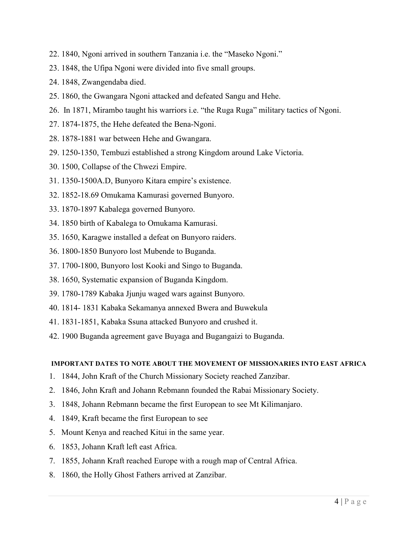- 22. 1840, Ngoni arrived in southern Tanzania i.e. the "Maseko Ngoni."
- 23. 1848, the Ufipa Ngoni were divided into five small groups.
- 24. 1848, Zwangendaba died.
- 25. 1860, the Gwangara Ngoni attacked and defeated Sangu and Hehe.
- 26. In 1871, Mirambo taught his warriors i.e. "the Ruga Ruga" military tactics of Ngoni.
- 27. 1874-1875, the Hehe defeated the Bena-Ngoni.
- 28. 1878-1881 war between Hehe and Gwangara.
- 29. 1250-1350, Tembuzi established a strong Kingdom around Lake Victoria.
- 30. 1500, Collapse of the Chwezi Empire.
- 31. 1350-1500A.D, Bunyoro Kitara empire's existence.
- 32. 1852-18.69 Omukama Kamurasi governed Bunyoro.
- 33. 1870-1897 Kabalega governed Bunyoro.
- 34. 1850 birth of Kabalega to Omukama Kamurasi.
- 35. 1650, Karagwe installed a defeat on Bunyoro raiders.
- 36. 1800-1850 Bunyoro lost Mubende to Buganda.
- 37. 1700-1800, Bunyoro lost Kooki and Singo to Buganda.
- 38. 1650, Systematic expansion of Buganda Kingdom.
- 39. 1780-1789 Kabaka Jjunju waged wars against Bunyoro.
- 40. 1814- 1831 Kabaka Sekamanya annexed Bwera and Buwekula
- 41. 1831-1851, Kabaka Ssuna attacked Bunyoro and crushed it.
- 42. 1900 Buganda agreement gave Buyaga and Bugangaizi to Buganda.

#### **IMPORTANT DATES TO NOTE ABOUT THE MOVEMENT OF MISSIONARIES INTO EAST AFRICA**

- 1. 1844, John Kraft of the Church Missionary Society reached Zanzibar.
- 2. 1846, John Kraft and Johann Rebmann founded the Rabai Missionary Society.
- 3. 1848, Johann Rebmann became the first European to see Mt Kilimanjaro.
- 4. 1849, Kraft became the first European to see
- 5. Mount Kenya and reached Kitui in the same year.
- 6. 1853, Johann Kraft left east Africa.
- 7. 1855, Johann Kraft reached Europe with a rough map of Central Africa.
- 8. 1860, the Holly Ghost Fathers arrived at Zanzibar.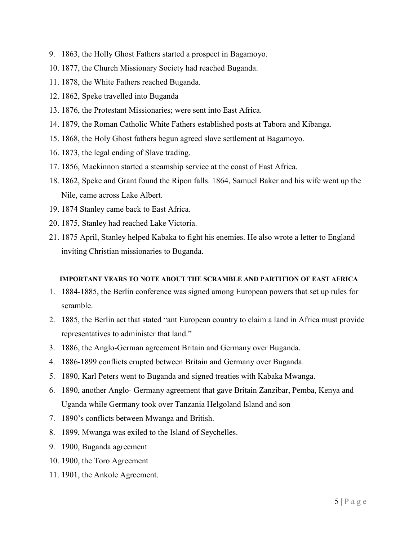- 9. 1863, the Holly Ghost Fathers started a prospect in Bagamoyo.
- 10. 1877, the Church Missionary Society had reached Buganda.
- 11. 1878, the White Fathers reached Buganda.
- 12. 1862, Speke travelled into Buganda
- 13. 1876, the Protestant Missionaries; were sent into East Africa.
- 14. 1879, the Roman Catholic White Fathers established posts at Tabora and Kibanga.
- 15. 1868, the Holy Ghost fathers begun agreed slave settlement at Bagamoyo.
- 16. 1873, the legal ending of Slave trading.
- 17. 1856, Mackinnon started a steamship service at the coast of East Africa.
- 18. 1862, Speke and Grant found the Ripon falls. 1864, Samuel Baker and his wife went up the Nile, came across Lake Albert.
- 19. 1874 Stanley came back to East Africa.
- 20. 1875, Stanley had reached Lake Victoria.
- 21. 1875 April, Stanley helped Kabaka to fight his enemies. He also wrote a letter to England inviting Christian missionaries to Buganda.

## **IMPORTANT YEARS TO NOTE ABOUT THE SCRAMBLE AND PARTITION OF EAST AFRICA**

- 1. 1884-1885, the Berlin conference was signed among European powers that set up rules for scramble.
- 2. 1885, the Berlin act that stated "ant European country to claim a land in Africa must provide representatives to administer that land."
- 3. 1886, the Anglo-German agreement Britain and Germany over Buganda.
- 4. 1886-1899 conflicts erupted between Britain and Germany over Buganda.
- 5. 1890, Karl Peters went to Buganda and signed treaties with Kabaka Mwanga.
- 6. 1890, another Anglo- Germany agreement that gave Britain Zanzibar, Pemba, Kenya and Uganda while Germany took over Tanzania Helgoland Island and son
- 7. 1890's conflicts between Mwanga and British.
- 8. 1899, Mwanga was exiled to the Island of Seychelles.
- 9. 1900, Buganda agreement
- 10. 1900, the Toro Agreement
- 11. 1901, the Ankole Agreement.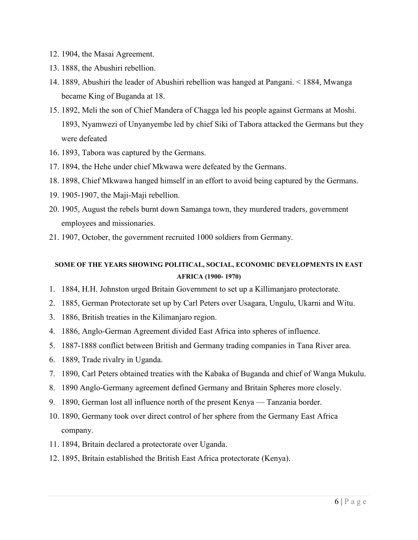- 12. 1904, the Masai Agreement.
- 13. 1888, the Abushiri rebellion.
- 14. 1889, Abushiri the leader of Abushiri rebellion was hanged at Pangani. < 1884, Mwanga became King of Buganda at 18.
- 15. 1892, Meli the son of Chief Mandera of Chagga led his people against Germans at Moshi. 1893, Nyamwezi of Unyanyembe led by chief Siki of Tabora attacked the Germans but they were defeated
- 16. 1893, Tabora was captured by the Germans.
- 17. 1894, the Hehe under chief Mkwawa were defeated by the Germans.
- 18. 1898, Chief Mkwawa hanged himself in an effort to avoid being captured by the Germans.
- 19. 1905-1907, the Maji-Maji rebellion.
- 20. 1905, August the rebels burnt down Samanga town, they murdered traders, government employees and missionaries.
- 21. 1907, October, the government recruited 1000 soldiers from Germany.

## **SOME OF THE YEARS SHOWING POLITICAL, SOCIAL, ECONOMIC DEVELOPMENTS IN EAST AFRICA (1900- 1970)**

- 1. 1884, H.H. Johnston urged Britain Government to set up a Killimanjaro protectorate.
- 2. 1885, German Protectorate set up by Carl Peters over Usagara, Ungulu, Ukarni and Witu.
- 3. 1886, British treaties in the Kilimanjaro region.
- 4. 1886, Anglo-German Agreement divided East Africa into spheres of influence.
- 5. 1887-1888 conflict between British and Germany trading companies in Tana River area.
- 6. 1889, Trade rivalry in Uganda.
- 7. 1890, Carl Peters obtained treaties with the Kabaka of Buganda and chief of Wanga Mukulu.
- 8. 1890 Anglo-Germany agreement defined Germany and Britain Spheres more closely.
- 9. 1890, German lost all influence north of the present Kenya Tanzania border.
- 10. 1890, Germany took over direct control of her sphere from the Germany East Africa company.
- 11. 1894, Britain declared a protectorate over Uganda.
- 12. 1895, Britain established the British East Africa protectorate (Kenya).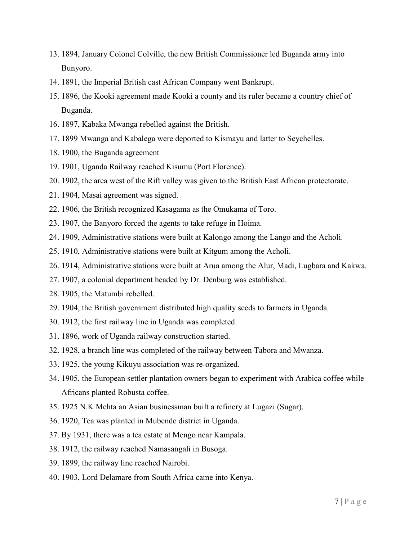- 13. 1894, January Colonel Colville, the new British Commissioner led Buganda army into Bunyoro.
- 14. 1891, the Imperial British cast African Company went Bankrupt.
- 15. 1896, the Kooki agreement made Kooki a county and its ruler became a country chief of Buganda.
- 16. 1897, Kabaka Mwanga rebelled against the British.
- 17. 1899 Mwanga and Kabalega were deported to Kismayu and latter to Seychelles.
- 18. 1900, the Buganda agreement
- 19. 1901, Uganda Railway reached Kisumu (Port Florence).
- 20. 1902, the area west of the Rift valley was given to the British East African protectorate.
- 21. 1904, Masai agreement was signed.
- 22. 1906, the British recognized Kasagama as the Omukama of Toro.
- 23. 1907, the Banyoro forced the agents to take refuge in Hoima.
- 24. 1909, Administrative stations were built at Kalongo among the Lango and the Acholi.
- 25. 1910, Administrative stations were built at Kitgum among the Acholi.
- 26. 1914, Administrative stations were built at Arua among the Alur, Madi, Lugbara and Kakwa.
- 27. 1907, a colonial department headed by Dr. Denburg was established.
- 28. 1905, the Matumbi rebelled.
- 29. 1904, the British government distributed high quality seeds to farmers in Uganda.
- 30. 1912, the first railway line in Uganda was completed.
- 31. 1896, work of Uganda railway construction started.
- 32. 1928, a branch line was completed of the railway between Tabora and Mwanza.
- 33. 1925, the young Kikuyu association was re-organized.
- 34. 1905, the European settler plantation owners began to experiment with Arabica coffee while Africans planted Robusta coffee.
- 35. 1925 N.K Mehta an Asian businessman built a refinery at Lugazi (Sugar).
- 36. 1920, Tea was planted in Mubende district in Uganda.
- 37. By 1931, there was a tea estate at Mengo near Kampala.
- 38. 1912, the railway reached Namasangali in Busoga.
- 39. 1899, the railway line reached Nairobi.
- 40. 1903, Lord Delamare from South Africa came into Kenya.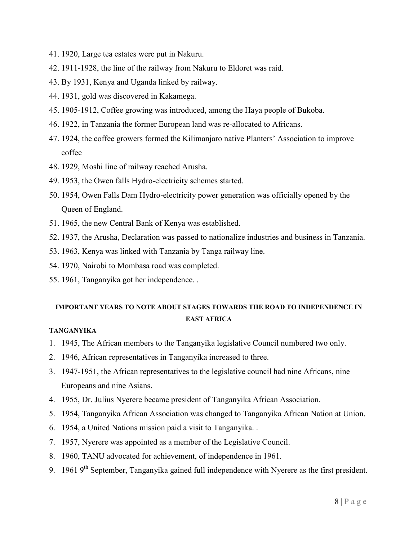- 41. 1920, Large tea estates were put in Nakuru.
- 42. 1911-1928, the line of the railway from Nakuru to Eldoret was raid.
- 43. By 1931, Kenya and Uganda linked by railway.
- 44. 1931, gold was discovered in Kakamega.
- 45. 1905-1912, Coffee growing was introduced, among the Haya people of Bukoba.
- 46. 1922, in Tanzania the former European land was re-allocated to Africans.
- 47. 1924, the coffee growers formed the Kilimanjaro native Planters' Association to improve coffee
- 48. 1929, Moshi line of railway reached Arusha.
- 49. 1953, the Owen falls Hydro-electricity schemes started.
- 50. 1954, Owen Falls Dam Hydro-electricity power generation was officially opened by the Queen of England.
- 51. 1965, the new Central Bank of Kenya was established.
- 52. 1937, the Arusha, Declaration was passed to nationalize industries and business in Tanzania.
- 53. 1963, Kenya was linked with Tanzania by Tanga railway line.
- 54. 1970, Nairobi to Mombasa road was completed.
- 55. 1961, Tanganyika got her independence. .

# **IMPORTANT YEARS TO NOTE ABOUT STAGES TOWARDS THE ROAD TO INDEPENDENCE IN EAST AFRICA**

## **TANGANYIKA**

- 1. 1945, The African members to the Tanganyika legislative Council numbered two only.
- 2. 1946, African representatives in Tanganyika increased to three.
- 3. 1947-1951, the African representatives to the legislative council had nine Africans, nine Europeans and nine Asians.
- 4. 1955, Dr. Julius Nyerere became president of Tanganyika African Association.
- 5. 1954, Tanganyika African Association was changed to Tanganyika African Nation at Union.
- 6. 1954, a United Nations mission paid a visit to Tanganyika. .
- 7. 1957, Nyerere was appointed as a member of the Legislative Council.
- 8. 1960, TANU advocated for achievement, of independence in 1961.
- 9. 1961 9<sup>th</sup> September, Tanganyika gained full independence with Nyerere as the first president.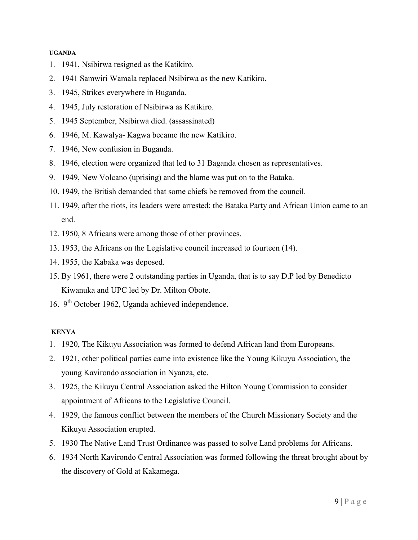#### **UGANDA**

- 1. 1941, Nsibirwa resigned as the Katikiro.
- 2. 1941 Samwiri Wamala replaced Nsibirwa as the new Katikiro.
- 3. 1945, Strikes everywhere in Buganda.
- 4. 1945, July restoration of Nsibirwa as Katikiro.
- 5. 1945 September, Nsibirwa died. (assassinated)
- 6. 1946, M. Kawalya- Kagwa became the new Katikiro.
- 7. 1946, New confusion in Buganda.
- 8. 1946, election were organized that led to 31 Baganda chosen as representatives.
- 9. 1949, New Volcano (uprising) and the blame was put on to the Bataka.
- 10. 1949, the British demanded that some chiefs be removed from the council.
- 11. 1949, after the riots, its leaders were arrested; the Bataka Party and African Union came to an end.
- 12. 1950, 8 Africans were among those of other provinces.
- 13. 1953, the Africans on the Legislative council increased to fourteen (14).
- 14. 1955, the Kabaka was deposed.
- 15. By 1961, there were 2 outstanding parties in Uganda, that is to say D.P led by Benedicto Kiwanuka and UPC led by Dr. Milton Obote.
- 16. 9<sup>th</sup> October 1962, Uganda achieved independence.

#### **KENYA**

- 1. 1920, The Kikuyu Association was formed to defend African land from Europeans.
- 2. 1921, other political parties came into existence like the Young Kikuyu Association, the young Kavirondo association in Nyanza, etc.
- 3. 1925, the Kikuyu Central Association asked the Hilton Young Commission to consider appointment of Africans to the Legislative Council.
- 4. 1929, the famous conflict between the members of the Church Missionary Society and the Kikuyu Association erupted.
- 5. 1930 The Native Land Trust Ordinance was passed to solve Land problems for Africans.
- 6. 1934 North Kavirondo Central Association was formed following the threat brought about by the discovery of Gold at Kakamega.